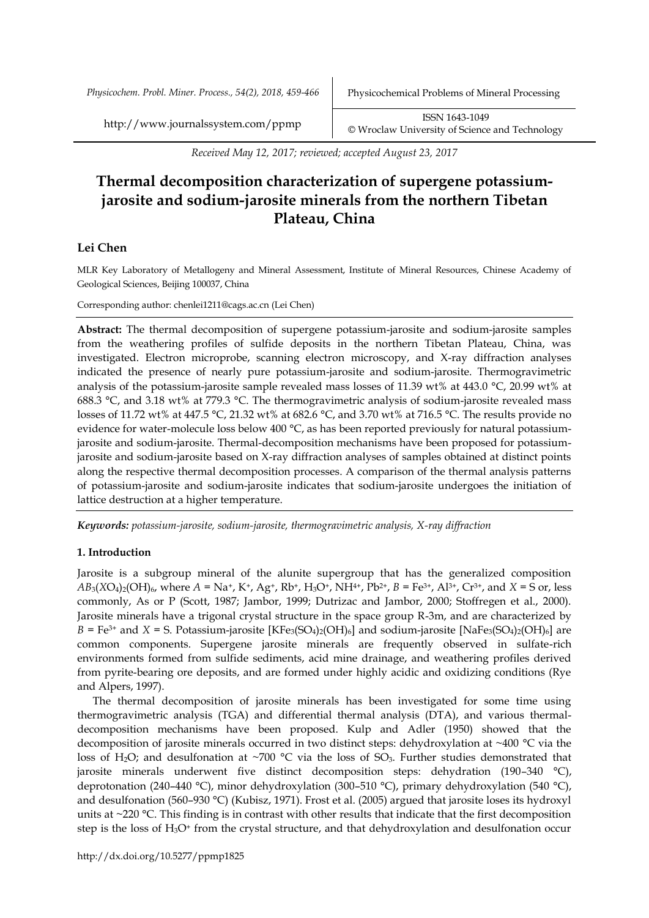*Physicochem. Probl. Miner. Process., 54(2), 2018, 459-466* Physicochemical Problems of Mineral Processing

http://www.journalssystem.com/ppmp ISSN 1643-1049 [©](http://www.minproc.pwr.wroc.pl/journal/) Wroclaw University of Science and Technology

*Received May 12, 2017; reviewed; accepted August 23, 2017*

# **Thermal decomposition characterization of supergene potassiumjarosite and sodium-jarosite minerals from the northern Tibetan Plateau, China**

# **Lei Chen**

MLR Key Laboratory of Metallogeny and Mineral Assessment, Institute of Mineral Resources, Chinese Academy of Geological Sciences, Beijing 100037, China

Corresponding author: chenlei1211@cags.ac.cn (Lei Chen)

**Abstract:** The thermal decomposition of supergene potassium-jarosite and sodium-jarosite samples from the weathering profiles of sulfide deposits in the northern Tibetan Plateau, China, was investigated. Electron microprobe, scanning electron microscopy, and X-ray diffraction analyses indicated the presence of nearly pure potassium-jarosite and sodium-jarosite. Thermogravimetric analysis of the potassium-jarosite sample revealed mass losses of 11.39 wt% at 443.0 °C, 20.99 wt% at 688.3 °C, and 3.18 wt% at 779.3 °C. The thermogravimetric analysis of sodium-jarosite revealed mass losses of 11.72 wt% at 447.5 °C, 21.32 wt% at 682.6 °C, and 3.70 wt% at 716.5 °C. The results provide no evidence for water-molecule loss below 400 °C, as has been reported previously for natural potassiumjarosite and sodium-jarosite. Thermal-decomposition mechanisms have been proposed for potassiumjarosite and sodium-jarosite based on X-ray diffraction analyses of samples obtained at distinct points along the respective thermal decomposition processes. A comparison of the thermal analysis patterns of potassium-jarosite and sodium-jarosite indicates that sodium-jarosite undergoes the initiation of lattice destruction at a higher temperature.

*Keywords: potassium-jarosite, sodium-jarosite, thermogravimetric analysis, X-ray diffraction*

# **1. Introduction**

Jarosite is a subgroup mineral of the alunite supergroup that has the generalized composition  $AB_3(XO_4)_2(OH)_6$ , where  $A = Na^+$ ,  $K^+$ ,  $Ag^+$ ,  $Rb^+$ ,  $H_3O^+$ ,  $NH^{4+}$ ,  $Pb^{2+}$ ,  $B = Fe^{3+}$ ,  $Al^{3+}$ ,  $Cr^{3+}$ , and  $X = S$  or, less commonly, As or P (Scott, 1987; Jambor, 1999; Dutrizac and Jambor, 2000; Stoffregen et al., 2000). Jarosite minerals have a trigonal crystal structure in the space group R-3m, and are characterized by  $B = \text{Fe}^{3+}$  and  $X = \text{S}$ . Potassium-jarosite [KFe<sub>3</sub>(SO<sub>4</sub>)<sub>2</sub>(OH)<sub>6</sub>] and sodium-jarosite [NaFe<sub>3</sub>(SO<sub>4</sub>)<sub>2</sub>(OH)<sub>6</sub>] are common components. Supergene jarosite minerals are frequently observed in sulfate-rich environments formed from sulfide sediments, acid mine drainage, and weathering profiles derived from pyrite-bearing ore deposits, and are formed under highly acidic and oxidizing conditions (Rye and Alpers, 1997).

The thermal decomposition of jarosite minerals has been investigated for some time using thermogravimetric analysis (TGA) and differential thermal analysis (DTA), and various thermaldecomposition mechanisms have been proposed. Kulp and Adler (1950) showed that the decomposition of jarosite minerals occurred in two distinct steps: dehydroxylation at ~400 °C via the loss of H<sub>2</sub>O; and desulfonation at ~700 °C via the loss of SO<sub>3</sub>. Further studies demonstrated that jarosite minerals underwent five distinct decomposition steps: dehydration (190–340 °C), deprotonation (240–440 °C), minor dehydroxylation (300–510 °C), primary dehydroxylation (540 °C), and desulfonation (560–930 °C) (Kubisz, 1971). Frost et al. (2005) argued that jarosite loses its hydroxyl units at ~220 °C. This finding is in contrast with other results that indicate that the first decomposition step is the loss of H<sub>3</sub>O<sup>+</sup> from the crystal structure, and that dehydroxylation and desulfonation occur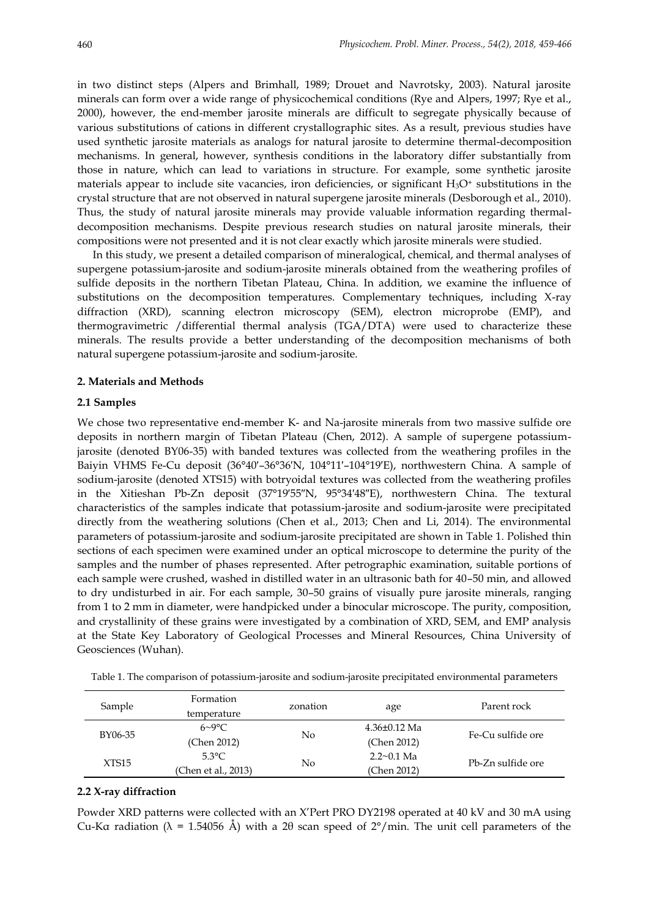in two distinct steps (Alpers and Brimhall, 1989; Drouet and Navrotsky, 2003). Natural jarosite minerals can form over a wide range of physicochemical conditions (Rye and Alpers, 1997; Rye et al., 2000), however, the end-member jarosite minerals are difficult to segregate physically because of various substitutions of cations in different crystallographic sites. As a result, previous studies have used synthetic jarosite materials as analogs for natural jarosite to determine thermal-decomposition mechanisms. In general, however, synthesis conditions in the laboratory differ substantially from those in nature, which can lead to variations in structure. For example, some synthetic jarosite materials appear to include site vacancies, iron deficiencies, or significant  $H_3O^+$  substitutions in the crystal structure that are not observed in natural supergene jarosite minerals (Desborough et al., 2010). Thus, the study of natural jarosite minerals may provide valuable information regarding thermaldecomposition mechanisms. Despite previous research studies on natural jarosite minerals, their compositions were not presented and it is not clear exactly which jarosite minerals were studied.

In this study, we present a detailed comparison of mineralogical, chemical, and thermal analyses of supergene potassium-jarosite and sodium-jarosite minerals obtained from the weathering profiles of sulfide deposits in the northern Tibetan Plateau, China. In addition, we examine the influence of substitutions on the decomposition temperatures. Complementary techniques, including X-ray diffraction (XRD), scanning electron microscopy (SEM), electron microprobe (EMP), and thermogravimetric /differential thermal analysis (TGA/DTA) were used to characterize these minerals. The results provide a better understanding of the decomposition mechanisms of both natural supergene potassium-jarosite and sodium-jarosite.

#### **2. Materials and Methods**

#### **2.1 Samples**

We chose two representative end-member K- and Na-jarosite minerals from two massive sulfide ore deposits in northern margin of Tibetan Plateau (Chen, 2012). A sample of supergene potassiumjarosite (denoted BY06-35) with banded textures was collected from the weathering profiles in the Baiyin VHMS Fe-Cu deposit (36°40′–36°36′N, 104°11′–104°19′E), northwestern China. A sample of sodium-jarosite (denoted XTS15) with botryoidal textures was collected from the weathering profiles in the Xitieshan Pb-Zn deposit (37°19′55″N, 95°34′48″E), northwestern China. The textural characteristics of the samples indicate that potassium-jarosite and sodium-jarosite were precipitated directly from the weathering solutions (Chen et al., 2013; Chen and Li, 2014). The environmental parameters of potassium-jarosite and sodium-jarosite precipitated are shown in Table 1. Polished thin sections of each specimen were examined under an optical microscope to determine the purity of the samples and the number of phases represented. After petrographic examination, suitable portions of each sample were crushed, washed in distilled water in an ultrasonic bath for 40–50 min, and allowed to dry undisturbed in air. For each sample, 30–50 grains of visually pure jarosite minerals, ranging from 1 to 2 mm in diameter, were handpicked under a binocular microscope. The purity, composition, and crystallinity of these grains were investigated by a combination of XRD, SEM, and EMP analysis at the State Key Laboratory of Geological Processes and Mineral Resources, China University of Geosciences (Wuhan).

| Sample  | Formation<br>temperature               | zonation | age                              | Parent rock       |
|---------|----------------------------------------|----------|----------------------------------|-------------------|
| BY06-35 | $6\sim9\degree$ C<br>(Chen 2012)       | No       | $4.36\pm0.12$ Ma<br>(Chen 2012)  | Fe-Cu sulfide ore |
| XTS15   | $5.3^{\circ}$ C<br>(Chen et al., 2013) | No       | $2.2 \sim 0.1$ Ma<br>(Chen 2012) | Pb-Zn sulfide ore |

Table 1. The comparison of potassium-jarosite and sodium-jarosite precipitated environmental parameters

# **2.2 X-ray diffraction**

Powder XRD patterns were collected with an X'Pert PRO DY2198 operated at 40 kV and 30 mA using Cu-Kα radiation ( $\lambda$  = 1.54056 Å) with a 2θ scan speed of 2°/min. The unit cell parameters of the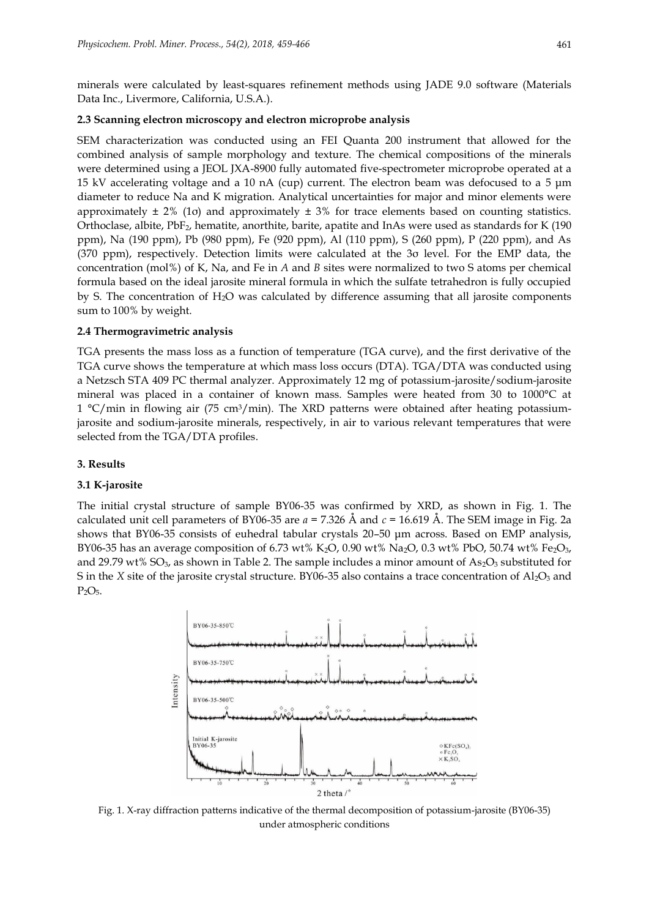minerals were calculated by least-squares refinement methods using JADE 9.0 software (Materials Data Inc., Livermore, California, U.S.A.).

# **2.3 Scanning electron microscopy and electron microprobe analysis**

SEM characterization was conducted using an FEI Quanta 200 instrument that allowed for the combined analysis of sample morphology and texture. The chemical compositions of the minerals were determined using a JEOL JXA-8900 fully automated five-spectrometer microprobe operated at a 15 kV accelerating voltage and a 10 nA (cup) current. The electron beam was defocused to a 5 μm diameter to reduce Na and K migration. Analytical uncertainties for major and minor elements were approximately  $\pm$  2% (1 $\sigma$ ) and approximately  $\pm$  3% for trace elements based on counting statistics. Orthoclase, albite, PbF2, hematite, anorthite, barite, apatite and InAs were used as standards for K (190 ppm), Na (190 ppm), Pb (980 ppm), Fe (920 ppm), Al (110 ppm), S (260 ppm), P (220 ppm), and As (370 ppm), respectively. Detection limits were calculated at the 3σ level. For the EMP data, the concentration (mol%) of K, Na, and Fe in *A* and *B* sites were normalized to two S atoms per chemical formula based on the ideal jarosite mineral formula in which the sulfate tetrahedron is fully occupied by S. The concentration of H2O was calculated by difference assuming that all jarosite components sum to 100% by weight.

## **2.4 Thermogravimetric analysis**

TGA presents the mass loss as a function of temperature (TGA curve), and the first derivative of the TGA curve shows the temperature at which mass loss occurs (DTA). TGA/DTA was conducted using a Netzsch STA 409 PC thermal analyzer. Approximately 12 mg of potassium-jarosite/sodium-jarosite mineral was placed in a container of known mass. Samples were heated from 30 to 1000°C at 1  $\degree$ C/min in flowing air (75 cm<sup>3</sup>/min). The XRD patterns were obtained after heating potassiumjarosite and sodium-jarosite minerals, respectively, in air to various relevant temperatures that were selected from the TGA/DTA profiles.

# **3. Results**

#### **3.1 K-jarosite**

The initial crystal structure of sample BY06-35 was confirmed by XRD, as shown in Fig. 1. The calculated unit cell parameters of BY06-35 are *a* = 7.326 Å and *c* = 16.619 Å. The SEM image in Fig. 2a shows that BY06-35 consists of euhedral tabular crystals 20–50 μm across. Based on EMP analysis, BY06-35 has an average composition of 6.73 wt% K<sub>2</sub>O, 0.90 wt% Na<sub>2</sub>O, 0.3 wt% PbO, 50.74 wt% Fe<sub>2</sub>O<sub>3</sub>, and 29.79 wt% SO<sub>3</sub>, as shown in Table 2. The sample includes a minor amount of As<sub>2</sub>O<sub>3</sub> substituted for S in the *X* site of the jarosite crystal structure. BY06-35 also contains a trace concentration of Al<sub>2</sub>O<sub>3</sub> and  $P<sub>2</sub>O<sub>5</sub>$ .



Fig. 1. X-ray diffraction patterns indicative of the thermal decomposition of potassium-jarosite (BY06-35) under atmospheric conditions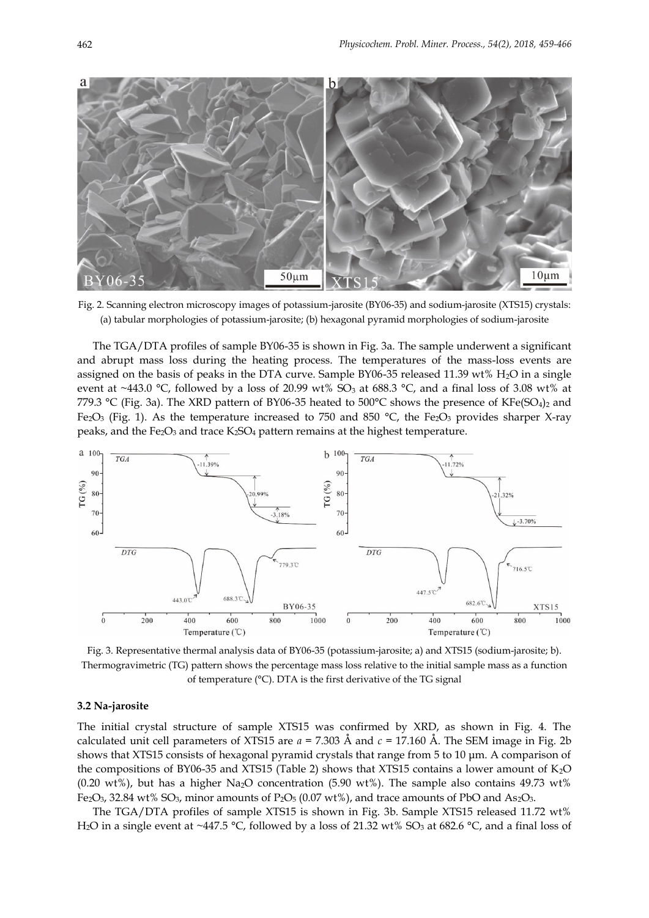

Fig. 2. Scanning electron microscopy images of potassium-jarosite (BY06-35) and sodium-jarosite (XTS15) crystals: (a) tabular morphologies of potassium-jarosite; (b) hexagonal pyramid morphologies of sodium-jarosite

The TGA/DTA profiles of sample BY06-35 is shown in Fig. 3a. The sample underwent a significant and abrupt mass loss during the heating process. The temperatures of the mass-loss events are assigned on the basis of peaks in the DTA curve. Sample BY06-35 released 11.39 wt% H<sub>2</sub>O in a single event at ~443.0 °C, followed by a loss of 20.99 wt%  $SO_3$  at 688.3 °C, and a final loss of 3.08 wt% at 779.3 °C (Fig. 3a). The XRD pattern of BY06-35 heated to 500°C shows the presence of KFe(SO<sub>4</sub>)<sub>2</sub> and Fe<sub>2</sub>O<sub>3</sub> (Fig. 1). As the temperature increased to 750 and 850 °C, the Fe<sub>2</sub>O<sub>3</sub> provides sharper X-ray peaks, and the Fe<sub>2</sub>O<sub>3</sub> and trace K<sub>2</sub>SO<sub>4</sub> pattern remains at the highest temperature.



Fig. 3. Representative thermal analysis data of BY06-35 (potassium-jarosite; a) and XTS15 (sodium-jarosite; b). Thermogravimetric (TG) pattern shows the percentage mass loss relative to the initial sample mass as a function of temperature (°C). DTA is the first derivative of the TG signal

# **3.2 Na-jarosite**

The initial crystal structure of sample XTS15 was confirmed by XRD, as shown in Fig. 4. The calculated unit cell parameters of XTS15 are *a* = 7.303 Å and *c* = 17.160 Å. The SEM image in Fig. 2b shows that XTS15 consists of hexagonal pyramid crystals that range from 5 to 10 μm. A comparison of the compositions of BY06-35 and XTS15 (Table 2) shows that XTS15 contains a lower amount of K2O (0.20 wt%), but has a higher Na<sub>2</sub>O concentration (5.90 wt%). The sample also contains 49.73 wt% Fe<sub>2</sub>O<sub>3</sub>, 32.84 wt% SO<sub>3</sub>, minor amounts of P<sub>2</sub>O<sub>5</sub> (0.07 wt%), and trace amounts of PbO and As<sub>2</sub>O<sub>3</sub>.

The TGA/DTA profiles of sample XTS15 is shown in Fig. 3b. Sample XTS15 released 11.72 wt% H<sub>2</sub>O in a single event at ~447.5 °C, followed by a loss of 21.32 wt% SO<sub>3</sub> at 682.6 °C, and a final loss of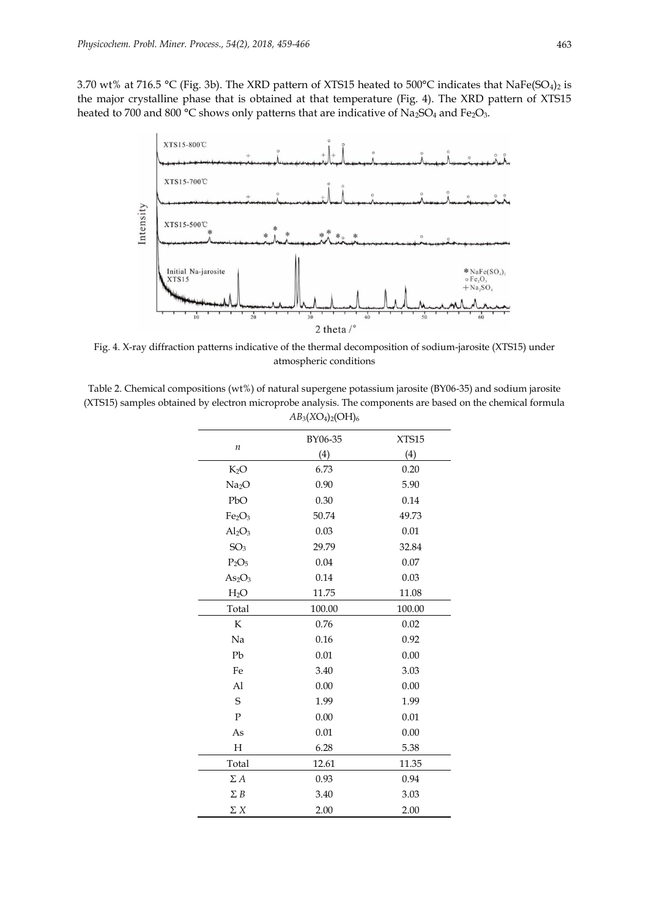3.70 wt% at 716.5 °C (Fig. 3b). The XRD pattern of XTS15 heated to 500°C indicates that NaFe(SO<sub>4</sub>)<sub>2</sub> is the major crystalline phase that is obtained at that temperature (Fig. 4). The XRD pattern of XTS15 heated to 700 and 800 °C shows only patterns that are indicative of Na<sub>2</sub>SO<sub>4</sub> and Fe<sub>2</sub>O<sub>3</sub>.



Fig. 4. X-ray diffraction patterns indicative of the thermal decomposition of sodium-jarosite (XTS15) under atmospheric conditions

Table 2. Chemical compositions (wt%) of natural supergene potassium jarosite (BY06-35) and sodium jarosite (XTS15) samples obtained by electron microprobe analysis. The components are based on the chemical formula *AB*3(*X*O4)2(OH)<sup>6</sup>

|                                | BY06-35 | XTS15  |
|--------------------------------|---------|--------|
| $\boldsymbol{n}$               | (4)     | (4)    |
| $K_2O$                         | 6.73    | 0.20   |
| Na <sub>2</sub> O              | 0.90    | 5.90   |
| PbO                            | 0.30    | 0.14   |
| Fe <sub>2</sub> O <sub>3</sub> | 50.74   | 49.73  |
| $Al_2O_3$                      | 0.03    | 0.01   |
| SO <sub>3</sub>                | 29.79   | 32.84  |
| $P_2O_5$                       | 0.04    | 0.07   |
| As <sub>2</sub> O <sub>3</sub> | 0.14    | 0.03   |
| H <sub>2</sub> O               | 11.75   | 11.08  |
| Total                          | 100.00  | 100.00 |
| K                              | 0.76    | 0.02   |
| Na                             | 0.16    | 0.92   |
| Pb                             | 0.01    | 0.00   |
| Fe                             | 3.40    | 3.03   |
| A <sub>1</sub>                 | 0.00    | 0.00   |
| S                              | 1.99    | 1.99   |
| $\mathbf{P}$                   | 0.00    | 0.01   |
| As                             | 0.01    | 0.00   |
| Н                              | 6.28    | 5.38   |
| Total                          | 12.61   | 11.35  |
| $\Sigma A$                     | 0.93    | 0.94   |
| $\Sigma B$                     | 3.40    | 3.03   |
| ΣΧ                             | 2.00    | 2.00   |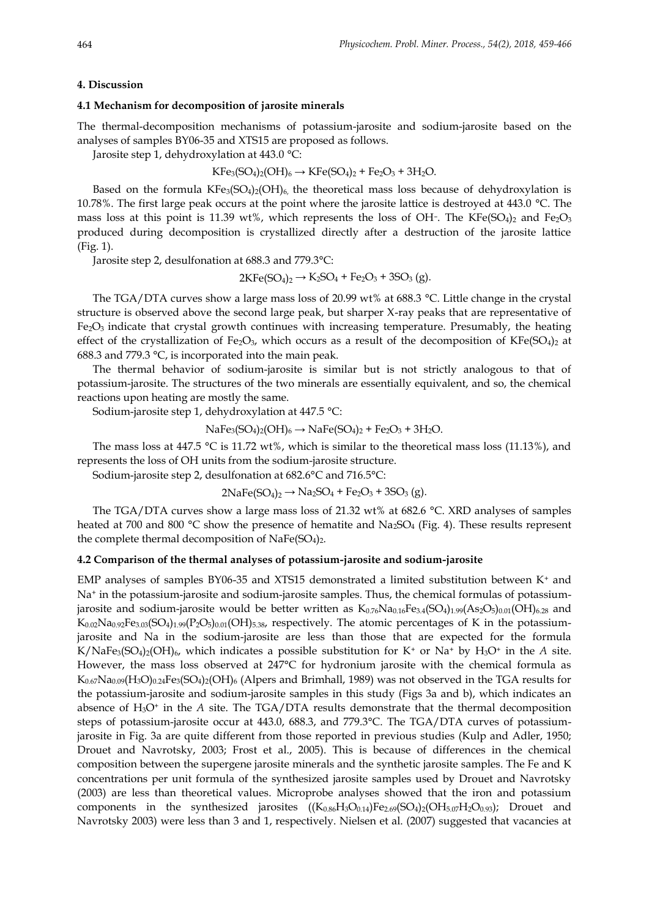#### **4. Discussion**

# **4.1 Mechanism for decomposition of jarosite minerals**

The thermal-decomposition mechanisms of potassium-jarosite and sodium-jarosite based on the analyses of samples BY06-35 and XTS15 are proposed as follows.

Jarosite step 1, dehydroxylation at 443.0 °C:

$$
KFe_3(SO_4)_2(OH)_6 \to KFe(SO_4)_2 + Fe_2O_3 + 3H_2O.
$$

Based on the formula  $KFe_3(SO_4)_2(OH)_6$ , the theoretical mass loss because of dehydroxylation is 10.78%. The first large peak occurs at the point where the jarosite lattice is destroyed at 443.0 °C. The mass loss at this point is 11.39 wt%, which represents the loss of OH-. The KFe(SO<sub>4)2</sub> and Fe<sub>2</sub>O<sub>3</sub> produced during decomposition is crystallized directly after a destruction of the jarosite lattice (Fig. 1).

Jarosite step 2, desulfonation at 688.3 and 779.3°C:

 $2KFe(SO_4)_2 \rightarrow K_2SO_4 + Fe_2O_3 + 3SO_3$  (g).

The TGA/DTA curves show a large mass loss of 20.99 wt% at 688.3 °C. Little change in the crystal structure is observed above the second large peak, but sharper X-ray peaks that are representative of  $Fe<sub>2</sub>O<sub>3</sub>$  indicate that crystal growth continues with increasing temperature. Presumably, the heating effect of the crystallization of Fe<sub>2</sub>O<sub>3</sub>, which occurs as a result of the decomposition of KFe(SO<sub>4</sub>)<sub>2</sub> at 688.3 and 779.3 °C, is incorporated into the main peak.

The thermal behavior of sodium-jarosite is similar but is not strictly analogous to that of potassium-jarosite. The structures of the two minerals are essentially equivalent, and so, the chemical reactions upon heating are mostly the same.

Sodium-jarosite step 1, dehydroxylation at 447.5 °C:

$$
NaFe_3(SO_4)_2(OH)_6 \to NaFe(SO_4)_2 + Fe_2O_3 + 3H_2O.
$$

The mass loss at 447.5  $\degree$ C is 11.72 wt%, which is similar to the theoretical mass loss (11.13%), and represents the loss of OH units from the sodium-jarosite structure.

Sodium-jarosite step 2, desulfonation at 682.6°C and 716.5°C:

 $2NaFe(SO<sub>4</sub>)<sub>2</sub> \rightarrow Na<sub>2</sub>SO<sub>4</sub> + Fe<sub>2</sub>O<sub>3</sub> + 3SO<sub>3</sub>(g).$ 

The TGA/DTA curves show a large mass loss of 21.32 wt% at 682.6 °C. XRD analyses of samples heated at 700 and 800  $\degree$ C show the presence of hematite and Na<sub>2</sub>SO<sub>4</sub> (Fig. 4). These results represent the complete thermal decomposition of NaFe(SO<sub>4</sub>)<sub>2</sub>.

# **4.2 Comparison of the thermal analyses of potassium-jarosite and sodium-jarosite**

EMP analyses of samples BY06-35 and XTS15 demonstrated a limited substitution between  $K^+$  and Na<sup>+</sup> in the potassium-jarosite and sodium-jarosite samples. Thus, the chemical formulas of potassiumjarosite and sodium-jarosite would be better written as  $K_{0.76}Na_{0.16}Fe_{3.4}(SO_4)_{1.99}(As_2O_5)_{0.01}(OH)_{6.28}$  and  $K_{0.02}Na_{0.92}Fe_{3.03}(SO_4)_{1.99}(P_2O_5)_{0.01}(OH)_{5.38}$ , respectively. The atomic percentages of K in the potassiumjarosite and Na in the sodium-jarosite are less than those that are expected for the formula K/NaFe<sub>3</sub>(SO<sub>4</sub>)<sub>2</sub>(OH)<sub>6</sub>, which indicates a possible substitution for K<sup>+</sup> or Na<sup>+</sup> by H<sub>3</sub>O<sup>+</sup> in the *A* site. However, the mass loss observed at 247°C for hydronium jarosite with the chemical formula as K<sub>0.67</sub>Na<sub>0.09</sub>(H<sub>3</sub>O)<sub>0.24</sub>Fe<sub>3</sub>(SO<sub>4</sub>)<sub>2</sub>(OH)<sub>6</sub> (Alpers and Brimhall, 1989) was not observed in the TGA results for the potassium-jarosite and sodium-jarosite samples in this study (Figs 3a and b), which indicates an absence of H3O<sup>+</sup> in the *A* site. The TGA/DTA results demonstrate that the thermal decomposition steps of potassium-jarosite occur at 443.0, 688.3, and 779.3°C. The TGA/DTA curves of potassiumjarosite in Fig. 3a are quite different from those reported in previous studies (Kulp and Adler, 1950; Drouet and Navrotsky, 2003; Frost et al., 2005). This is because of differences in the chemical composition between the supergene jarosite minerals and the synthetic jarosite samples. The Fe and K concentrations per unit formula of the synthesized jarosite samples used by Drouet and Navrotsky (2003) are less than theoretical values. Microprobe analyses showed that the iron and potassium components in the synthesized jarosites  $((K_{0.86}H_3O_{0.14})Fe_{2.69}(SO_4)_2(OH_{5.07}H_2O_{0.93})$ ; Drouet and Navrotsky 2003) were less than 3 and 1, respectively. Nielsen et al. (2007) suggested that vacancies at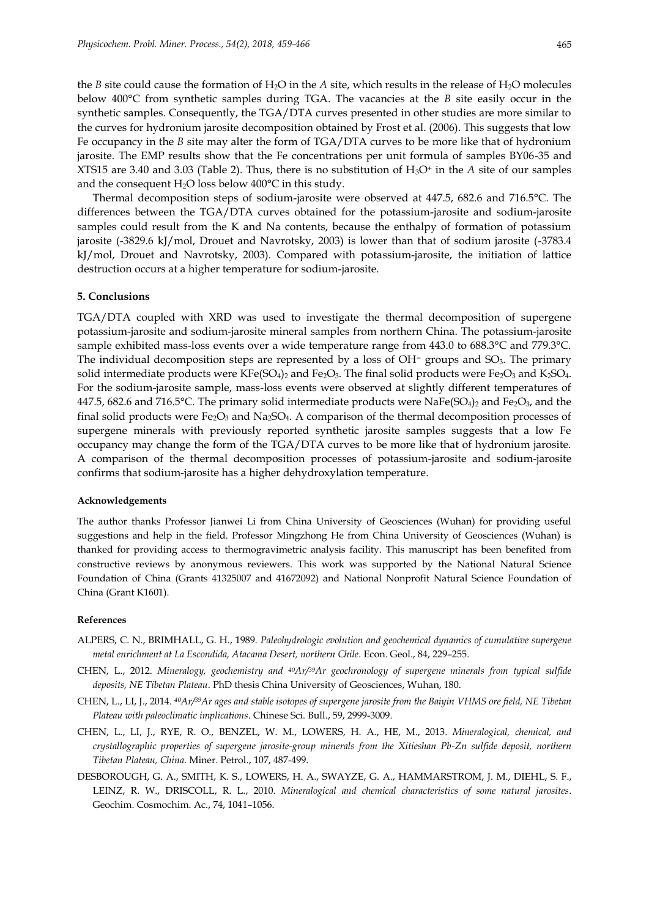the *B* site could cause the formation of  $H_2O$  in the *A* site, which results in the release of  $H_2O$  molecules below 400°C from synthetic samples during TGA. The vacancies at the *B* site easily occur in the synthetic samples. Consequently, the TGA/DTA curves presented in other studies are more similar to the curves for hydronium jarosite decomposition obtained by Frost et al. (2006). This suggests that low Fe occupancy in the *B* site may alter the form of TGA/DTA curves to be more like that of hydronium jarosite. The EMP results show that the Fe concentrations per unit formula of samples BY06-35 and XTS15 are 3.40 and 3.03 (Table 2). Thus, there is no substitution of  $H_3O^+$  in the A site of our samples and the consequent  $H_2O$  loss below  $400^{\circ}C$  in this study.

Thermal decomposition steps of sodium-jarosite were observed at 447.5, 682.6 and 716.5°C. The differences between the TGA/DTA curves obtained for the potassium-jarosite and sodium-jarosite samples could result from the K and Na contents, because the enthalpy of formation of potassium jarosite (-3829.6 kJ/mol, Drouet and Navrotsky, 2003) is lower than that of sodium jarosite (-3783.4 kJ/mol, Drouet and Navrotsky, 2003). Compared with potassium-jarosite, the initiation of lattice destruction occurs at a higher temperature for sodium-jarosite.

# **5. Conclusions**

TGA/DTA coupled with XRD was used to investigate the thermal decomposition of supergene potassium-jarosite and sodium-jarosite mineral samples from northern China. The potassium-jarosite sample exhibited mass-loss events over a wide temperature range from 443.0 to 688.3°C and 779.3°C. The individual decomposition steps are represented by a loss of OH<sup>−</sup> groups and SO<sub>3</sub>. The primary solid intermediate products were  $KFe(SO_4)_2$  and  $Fe_2O_3$ . The final solid products were  $Fe_2O_3$  and  $K_2SO_4$ . For the sodium-jarosite sample, mass-loss events were observed at slightly different temperatures of 447.5, 682.6 and 716.5°C. The primary solid intermediate products were NaFe(SO<sub>4</sub>)<sub>2</sub> and Fe<sub>2</sub>O<sub>3</sub>, and the final solid products were  $Fe<sub>2</sub>O<sub>3</sub>$  and Na<sub>2</sub>SO<sub>4</sub>. A comparison of the thermal decomposition processes of supergene minerals with previously reported synthetic jarosite samples suggests that a low Fe occupancy may change the form of the TGA/DTA curves to be more like that of hydronium jarosite. A comparison of the thermal decomposition processes of potassium-jarosite and sodium-jarosite confirms that sodium-jarosite has a higher dehydroxylation temperature.

## **Acknowledgements**

The author thanks Professor Jianwei Li from China University of Geosciences (Wuhan) for providing useful suggestions and help in the field. Professor Mingzhong He from China University of Geosciences (Wuhan) is thanked for providing access to thermogravimetric analysis facility. This manuscript has been benefited from constructive reviews by anonymous reviewers. This work was supported by the National Natural Science Foundation of China (Grants 41325007 and 41672092) and National Nonprofit Natural Science Foundation of China (Grant K1601).

#### **References**

- ALPERS, C. N., BRIMHALL, G. H., 1989. *Paleohydrologic evolution and geochemical dynamics of cumulative supergene metal enrichment at La Escondida, Atacama Desert, northern Chile*. Econ. Geol., 84, 229–255.
- CHEN, L., 2012. *Mineralogy, geochemistry and 40Ar/39Ar geochronology of supergene minerals from typical sulfide deposits, NE Tibetan Plateau*. PhD thesis China University of Geosciences, Wuhan, 180.
- CHEN, L., LI, J., 2014. *<sup>40</sup>Ar/39Ar ages and stable isotopes of supergene jarosite from the Baiyin VHMS ore field, NE Tibetan Plateau with paleoclimatic implications*. Chinese Sci. Bull., 59, 2999-3009.
- CHEN, L., LI, J., RYE, R. O., BENZEL, W. M., LOWERS, H. A., HE, M., 2013. *Mineralogical, chemical, and crystallographic properties of supergene jarosite-group minerals from the Xitieshan Pb-Zn sulfide deposit, northern Tibetan Plateau, China*. Miner. Petrol., 107, 487-499.
- DESBOROUGH, G. A., SMITH, K. S., LOWERS, H. A., SWAYZE, G. A., HAMMARSTROM, J. M., DIEHL, S. F., LEINZ, R. W., DRISCOLL, R. L., 2010. *Mineralogical and chemical characteristics of some natural jarosites*. Geochim. Cosmochim. Ac., 74, 1041–1056.